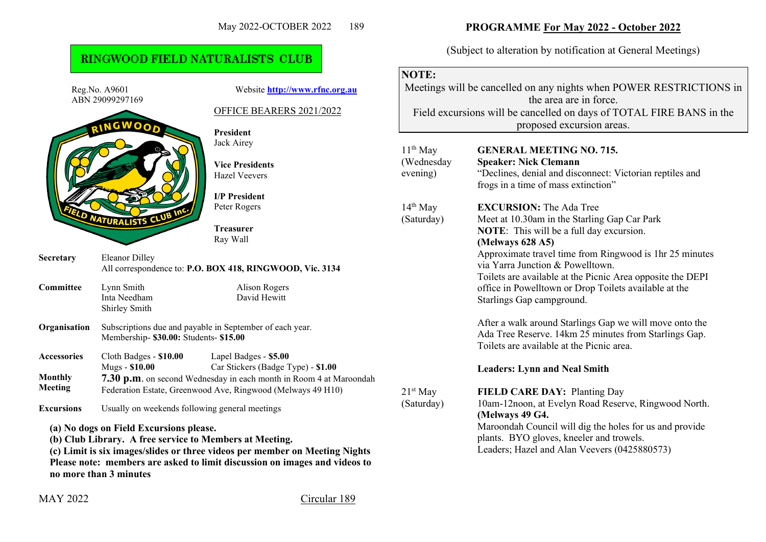## RINGWOOD FIELD NATURALISTS CLUB

Reg.No. A9601 Website **[http://www.rfnc.org.au](http://www.rfnc.org.au/)** ABN 29099297169 OFFICE BEARERS 2021/2022 **President** Jack Airey **Vice Presidents** Hazel Veevers **I/P President** Peter Rogers **ATURALISTS Treasurer** Ray Wall **Secretary** Eleanor Dilley All correspondence to: **P.O. BOX 418, RINGWOOD, Vic. 3134 Committee** Lynn Smith Alison Rogers Inta Needham David Hewitt Shirley Smith **Organisation** Subscriptions due and payable in September of each year. Membership- **\$30.00:** Students- **\$15.00 Accessories** Cloth Badges - **\$10.00** Lapel Badges - **\$5.00** Car Stickers (Badge Type) - \$1.00 **Monthly 7.30 p.m**. on second Wednesday in each month in Room 4 at Maroondah **Meeting** Federation Estate, Greenwood Ave, Ringwood (Melways 49 H10) **Excursions** Usually on weekends following general meetings **(a) No dogs on Field Excursions please. (b) Club Library. A free service to Members at Meeting. (c) Limit is six images/slides or three videos per member on Meeting Nights Please note: members are asked to limit discussion on images and videos to no more than 3 minutes**

**PROGRAMME For May 2022 - October 2022**

(Subject to alteration by notification at General Meetings)

## **NOTE:**

Meetings will be cancelled on any nights when POWER RESTRICTIONS in the area are in force. Field excursions will be cancelled on days of TOTAL FIRE BANS in the proposed excursion areas.

|    | $11th$ May<br>(Wednesday<br>evening) | <b>GENERAL MEETING NO. 715.</b><br><b>Speaker: Nick Clemann</b><br>"Declines, denial and disconnect: Victorian reptiles and<br>frogs in a time of mass extinction"                                                                                                                                                                                                                                       |
|----|--------------------------------------|----------------------------------------------------------------------------------------------------------------------------------------------------------------------------------------------------------------------------------------------------------------------------------------------------------------------------------------------------------------------------------------------------------|
|    | $14th$ May<br>(Saturday)             | <b>EXCURSION:</b> The Ada Tree<br>Meet at 10.30am in the Starling Gap Car Park<br><b>NOTE:</b> This will be a full day excursion.<br>(Melways 628 A5)<br>Approximate travel time from Ringwood is 1hr 25 minutes<br>via Yarra Junction & Powelltown.<br>Toilets are available at the Picnic Area opposite the DEPI<br>office in Powelltown or Drop Toilets available at the<br>Starlings Gap campground. |
|    |                                      | After a walk around Starlings Gap we will move onto the<br>Ada Tree Reserve. 14km 25 minutes from Starlings Gap.<br>Toilets are available at the Picnic area.<br><b>Leaders: Lynn and Neal Smith</b>                                                                                                                                                                                                     |
| ah | $21st$ May<br>(Saturday)             | <b>FIELD CARE DAY: Planting Day</b><br>10am-12noon, at Evelyn Road Reserve, Ringwood North.<br>(Melways 49 G4.<br>Maroondah Council will dig the holes for us and provide<br>plants. BYO gloves, kneeler and trowels.<br>Leaders; Hazel and Alan Veevers (0425880573)                                                                                                                                    |